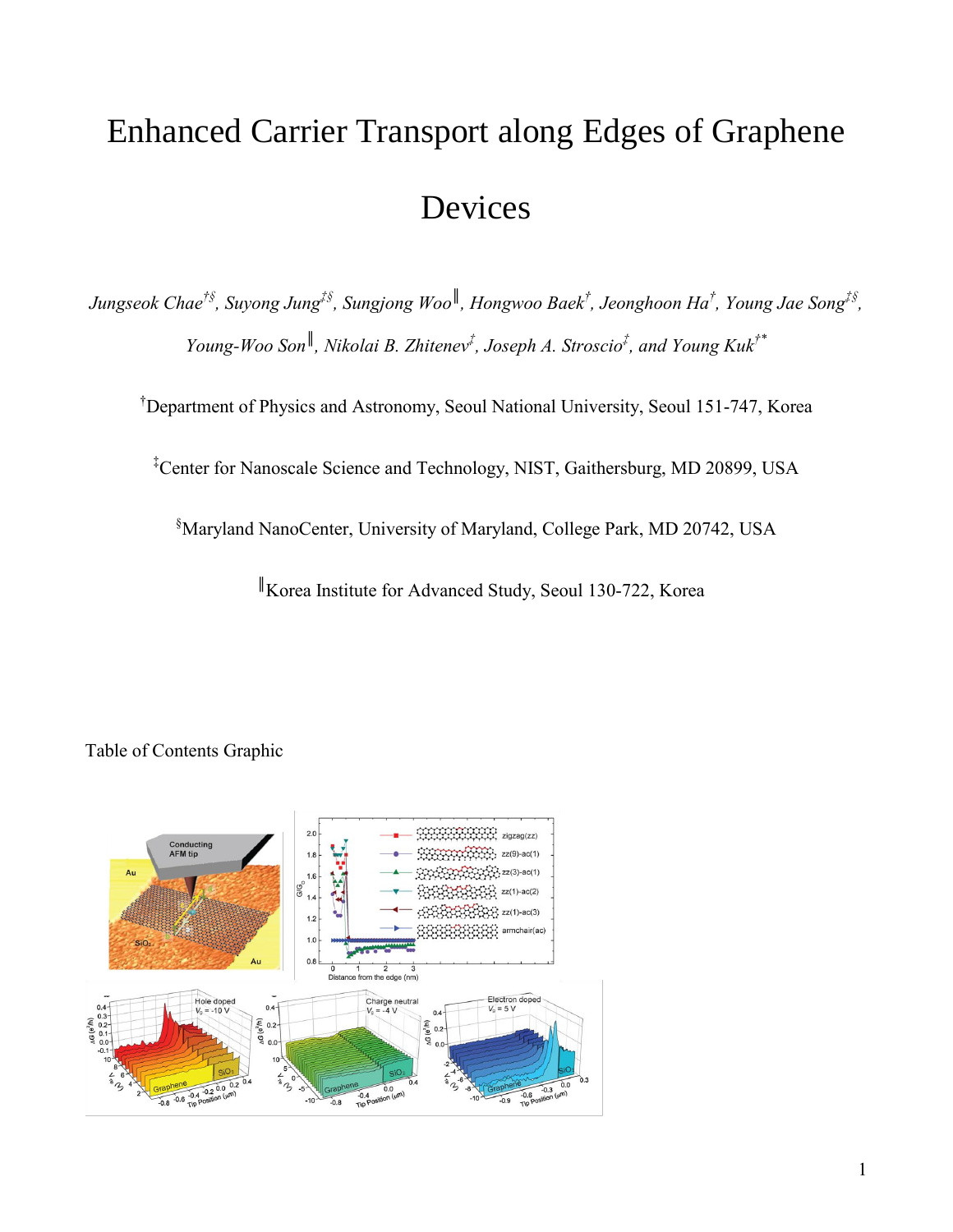# Enhanced Carrier Transport along Edges of Graphene Devices

*Jungseok Chae†§, Suyong Jung‡§, Sungjong Woo║ , Hongwoo Baek† , Jeonghoon Ha† , Young Jae Song‡§ , Young-Woo Son║ , Nikolai B. Zhitenev‡ , Joseph A. Stroscio‡ , and Young Kuk†\**

†Department of Physics and Astronomy, Seoul National University, Seoul 151-747, Korea

‡Center for Nanoscale Science and Technology, NIST, Gaithersburg, MD 20899, USA

§Maryland NanoCenter, University of Maryland, College Park, MD 20742, USA

║Korea Institute for Advanced Study, Seoul 130-722, Korea



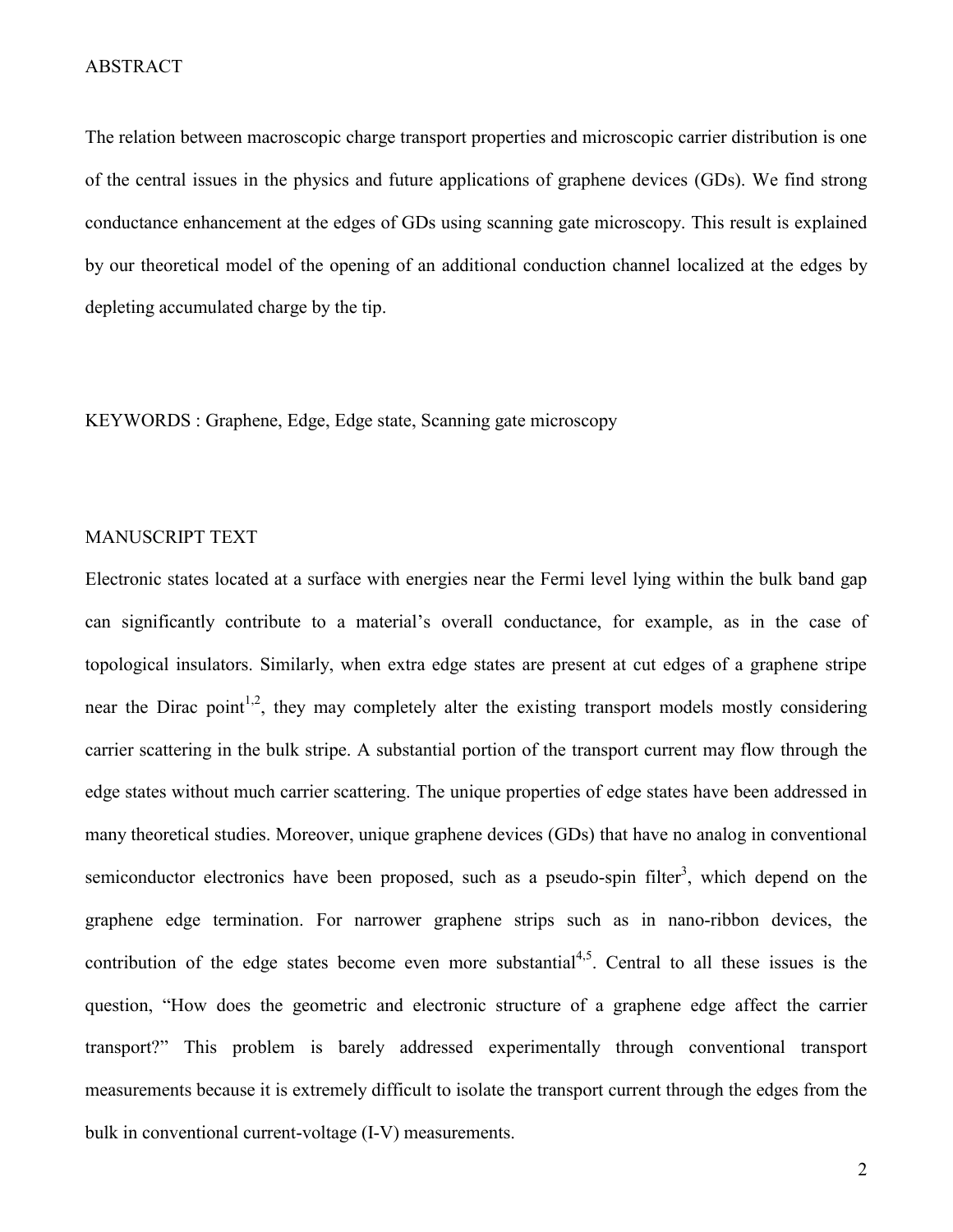#### ABSTRACT

The relation between macroscopic charge transport properties and microscopic carrier distribution is one of the central issues in the physics and future applications of graphene devices (GDs). We find strong conductance enhancement at the edges of GDs using scanning gate microscopy. This result is explained by our theoretical model of the opening of an additional conduction channel localized at the edges by depleting accumulated charge by the tip.

KEYWORDS : Graphene, Edge, Edge state, Scanning gate microscopy

#### MANUSCRIPT TEXT

Electronic states located at a surface with energies near the Fermi level lying within the bulk band gap can significantly contribute to a material's overall conductance, for example, as in the case of topological insulators. Similarly, when extra edge states are present at cut edges of a graphene stripe near the Dirac point<sup>1,2</sup>, they may completely alter the existing transport models mostly considering carrier scattering in the bulk stripe. A substantial portion of the transport current may flow through the edge states without much carrier scattering. The unique properties of edge states have been addressed in many theoretical studies. Moreover, unique graphene devices (GDs) that have no analog in conventional semiconductor electronics have been proposed, such as a pseudo-spin filter<sup>3</sup>, which depend on the graphene edge termination. For narrower graphene strips such as in nano-ribbon devices, the contribution of the edge states become even more substantial<sup>4,5</sup>. Central to all these issues is the question, "How does the geometric and electronic structure of a graphene edge affect the carrier transport?" This problem is barely addressed experimentally through conventional transport measurements because it is extremely difficult to isolate the transport current through the edges from the bulk in conventional current-voltage (I-V) measurements.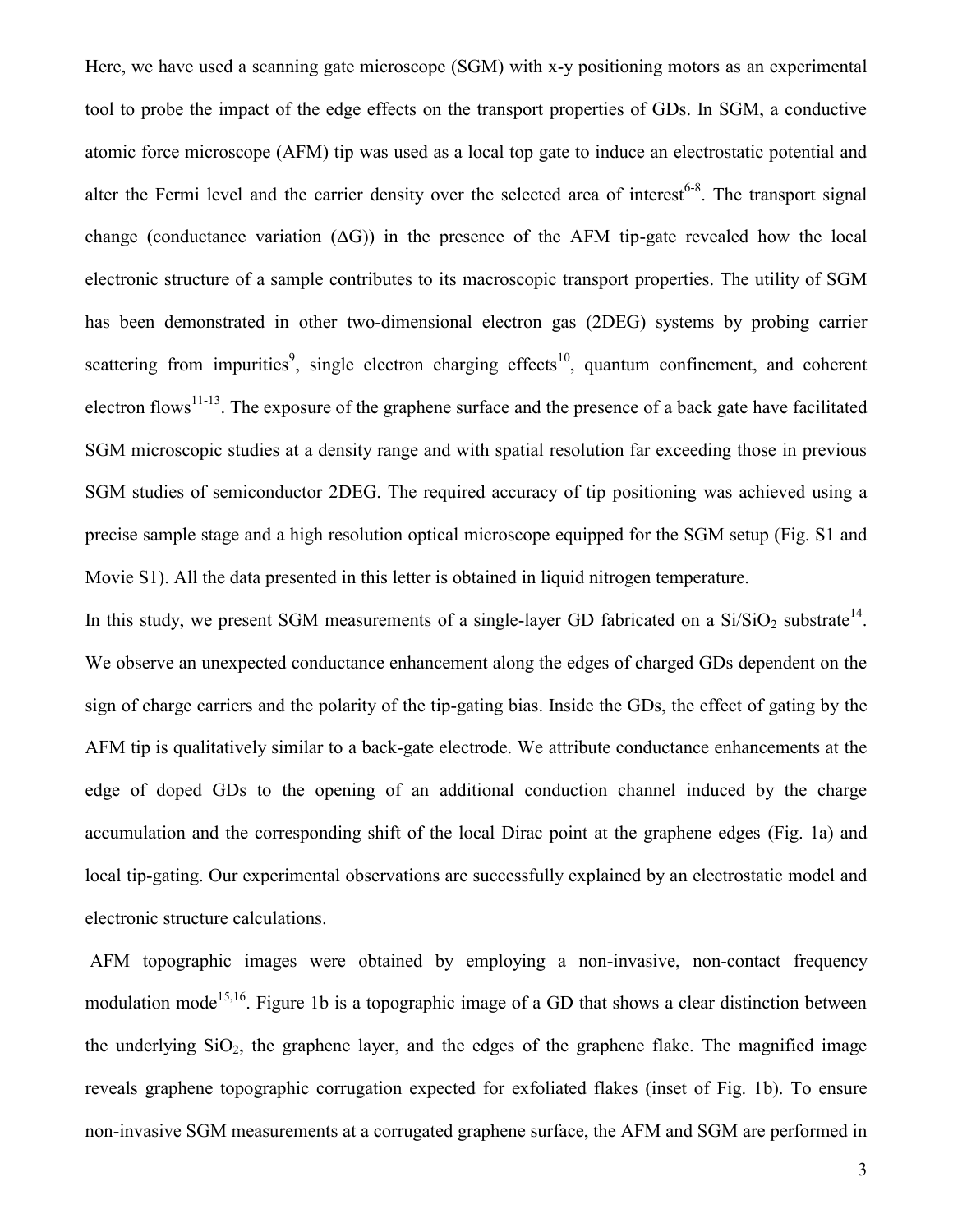Here, we have used a scanning gate microscope (SGM) with x-y positioning motors as an experimental tool to probe the impact of the edge effects on the transport properties of GDs. In SGM, a conductive atomic force microscope (AFM) tip was used as a local top gate to induce an electrostatic potential and alter the Fermi level and the carrier density over the selected area of interest<sup>6-8</sup>. The transport signal change (conductance variation  $( \Delta G )$ ) in the presence of the AFM tip-gate revealed how the local electronic structure of a sample contributes to its macroscopic transport properties. The utility of SGM has been demonstrated in other two-dimensional electron gas (2DEG) systems by probing carrier scattering from impurities<sup>9</sup>, single electron charging effects<sup>10</sup>, quantum confinement, and coherent electron flows<sup>11-13</sup>. The exposure of the graphene surface and the presence of a back gate have facilitated SGM microscopic studies at a density range and with spatial resolution far exceeding those in previous SGM studies of semiconductor 2DEG. The required accuracy of tip positioning was achieved using a precise sample stage and a high resolution optical microscope equipped for the SGM setup (Fig. S1 and Movie S1). All the data presented in this letter is obtained in liquid nitrogen temperature.

In this study, we present SGM measurements of a single-layer GD fabricated on a  $Si/SiO<sub>2</sub>$  substrate<sup>14</sup>. We observe an unexpected conductance enhancement along the edges of charged GDs dependent on the sign of charge carriers and the polarity of the tip-gating bias. Inside the GDs, the effect of gating by the AFM tip is qualitatively similar to a back-gate electrode. We attribute conductance enhancements at the edge of doped GDs to the opening of an additional conduction channel induced by the charge accumulation and the corresponding shift of the local Dirac point at the graphene edges (Fig. 1a) and local tip-gating. Our experimental observations are successfully explained by an electrostatic model and electronic structure calculations.

AFM topographic images were obtained by employing a non-invasive, non-contact frequency modulation mode<sup>15,16</sup>. Figure 1b is a topographic image of a GD that shows a clear distinction between the underlying  $SiO<sub>2</sub>$ , the graphene layer, and the edges of the graphene flake. The magnified image reveals graphene topographic corrugation expected for exfoliated flakes (inset of Fig. 1b). To ensure non-invasive SGM measurements at a corrugated graphene surface, the AFM and SGM are performed in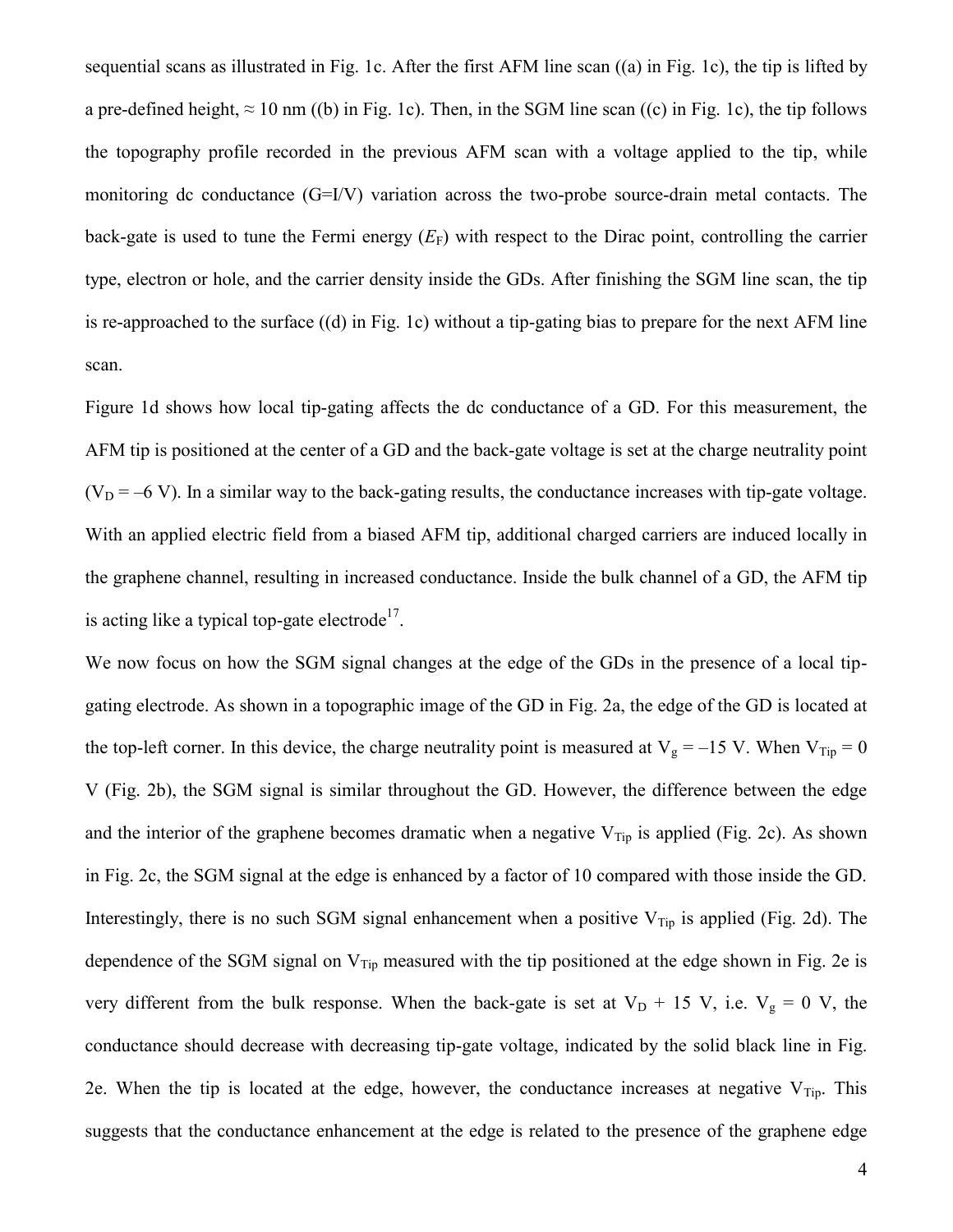sequential scans as illustrated in Fig. 1c. After the first AFM line scan ((a) in Fig. 1c), the tip is lifted by a pre-defined height,  $\approx 10$  nm ((b) in Fig. 1c). Then, in the SGM line scan ((c) in Fig. 1c), the tip follows the topography profile recorded in the previous AFM scan with a voltage applied to the tip, while monitoring dc conductance (G=I/V) variation across the two-probe source-drain metal contacts. The back-gate is used to tune the Fermi energy  $(E_F)$  with respect to the Dirac point, controlling the carrier type, electron or hole, and the carrier density inside the GDs. After finishing the SGM line scan, the tip is re-approached to the surface ((d) in Fig. 1c) without a tip-gating bias to prepare for the next AFM line scan.

Figure 1d shows how local tip-gating affects the dc conductance of a GD. For this measurement, the AFM tip is positioned at the center of a GD and the back-gate voltage is set at the charge neutrality point  $(V_D = -6 V)$ . In a similar way to the back-gating results, the conductance increases with tip-gate voltage. With an applied electric field from a biased AFM tip, additional charged carriers are induced locally in the graphene channel, resulting in increased conductance. Inside the bulk channel of a GD, the AFM tip is acting like a typical top-gate electrode<sup>17</sup>.

We now focus on how the SGM signal changes at the edge of the GDs in the presence of a local tipgating electrode. As shown in a topographic image of the GD in Fig. 2a, the edge of the GD is located at the top-left corner. In this device, the charge neutrality point is measured at  $V_g = -15$  V. When  $V_{Tip} = 0$ V (Fig. 2b), the SGM signal is similar throughout the GD. However, the difference between the edge and the interior of the graphene becomes dramatic when a negative  $V_{Tip}$  is applied (Fig. 2c). As shown in Fig. 2c, the SGM signal at the edge is enhanced by a factor of 10 compared with those inside the GD. Interestingly, there is no such SGM signal enhancement when a positive  $V_{Tip}$  is applied (Fig. 2d). The dependence of the SGM signal on  $V_{Tip}$  measured with the tip positioned at the edge shown in Fig. 2e is very different from the bulk response. When the back-gate is set at  $V_D$  + 15 V, i.e.  $V_g$  = 0 V, the conductance should decrease with decreasing tip-gate voltage, indicated by the solid black line in Fig. 2e. When the tip is located at the edge, however, the conductance increases at negative  $V_{Tip}$ . This suggests that the conductance enhancement at the edge is related to the presence of the graphene edge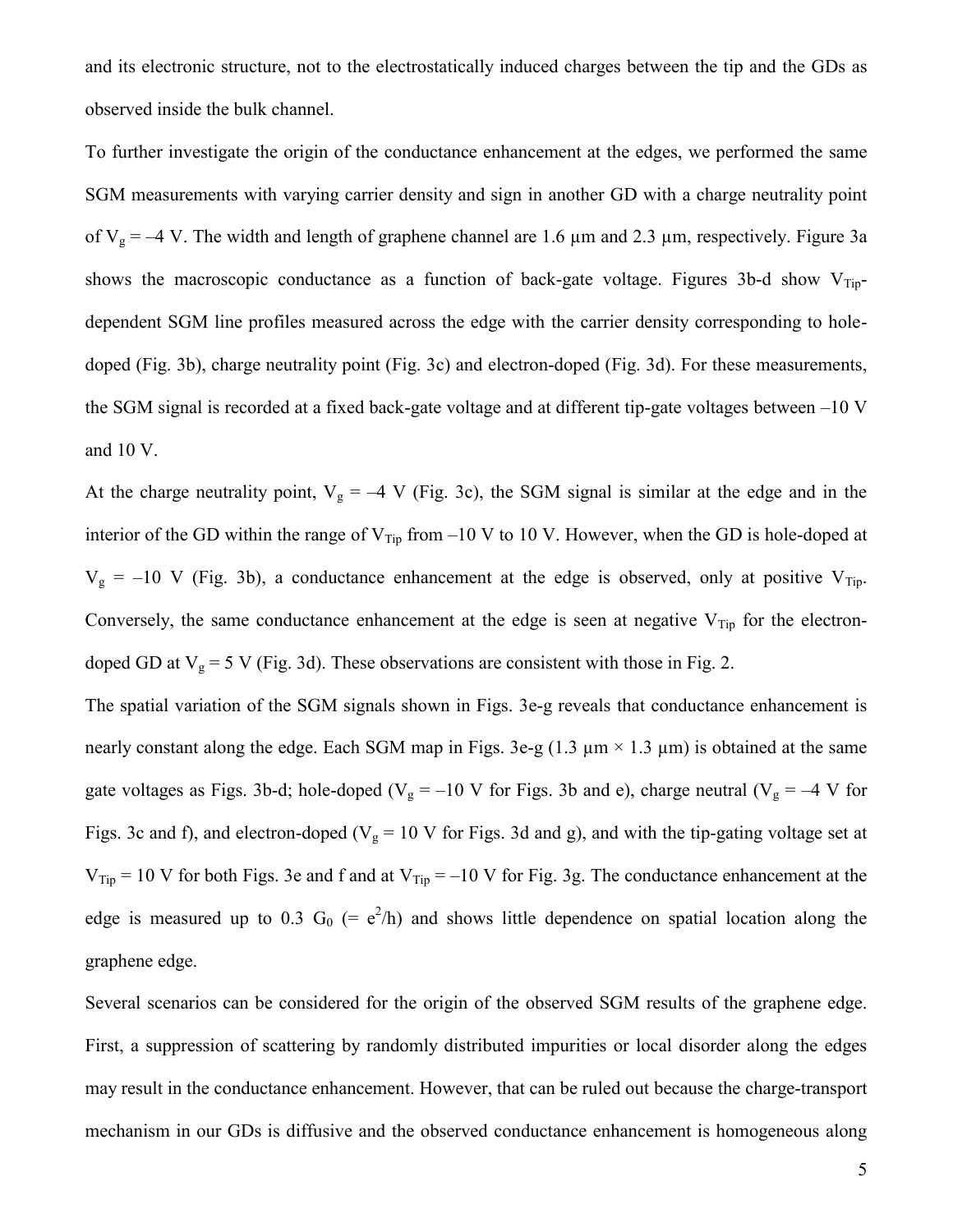and its electronic structure, not to the electrostatically induced charges between the tip and the GDs as observed inside the bulk channel.

To further investigate the origin of the conductance enhancement at the edges, we performed the same SGM measurements with varying carrier density and sign in another GD with a charge neutrality point of  $V_g = -4$  V. The width and length of graphene channel are 1.6  $\mu$ m and 2.3  $\mu$ m, respectively. Figure 3a shows the macroscopic conductance as a function of back-gate voltage. Figures 3b-d show  $V_{Tip}$ dependent SGM line profiles measured across the edge with the carrier density corresponding to holedoped (Fig. 3b), charge neutrality point (Fig. 3c) and electron-doped (Fig. 3d). For these measurements, the SGM signal is recorded at a fixed back-gate voltage and at different tip-gate voltages between  $-10$  V and 10 V.

At the charge neutrality point,  $V_g = -4$  V (Fig. 3c), the SGM signal is similar at the edge and in the interior of the GD within the range of  $V_{Tip}$  from –10 V to 10 V. However, when the GD is hole-doped at  $V<sub>g</sub> = -10$  V (Fig. 3b), a conductance enhancement at the edge is observed, only at positive  $V<sub>Tip</sub>$ . Conversely, the same conductance enhancement at the edge is seen at negative  $V_{\text{Tip}}$  for the electrondoped GD at  $V_g = 5$  V (Fig. 3d). These observations are consistent with those in Fig. 2.

The spatial variation of the SGM signals shown in Figs. 3e-g reveals that conductance enhancement is nearly constant along the edge. Each SGM map in Figs. 3e-g (1.3  $\mu$ m × 1.3  $\mu$ m) is obtained at the same gate voltages as Figs. 3b-d; hole-doped ( $V_g = -10$  V for Figs. 3b and e), charge neutral ( $V_g = -4$  V for Figs. 3c and f), and electron-doped ( $V_g = 10$  V for Figs. 3d and g), and with the tip-gating voltage set at  $V_{Tip} = 10$  V for both Figs. 3e and f and at  $V_{Tip} = -10$  V for Fig. 3g. The conductance enhancement at the edge is measured up to 0.3  $G_0$  (= e<sup>2</sup>/h) and shows little dependence on spatial location along the graphene edge.

Several scenarios can be considered for the origin of the observed SGM results of the graphene edge. First, a suppression of scattering by randomly distributed impurities or local disorder along the edges may result in the conductance enhancement. However, that can be ruled out because the charge-transport mechanism in our GDs is diffusive and the observed conductance enhancement is homogeneous along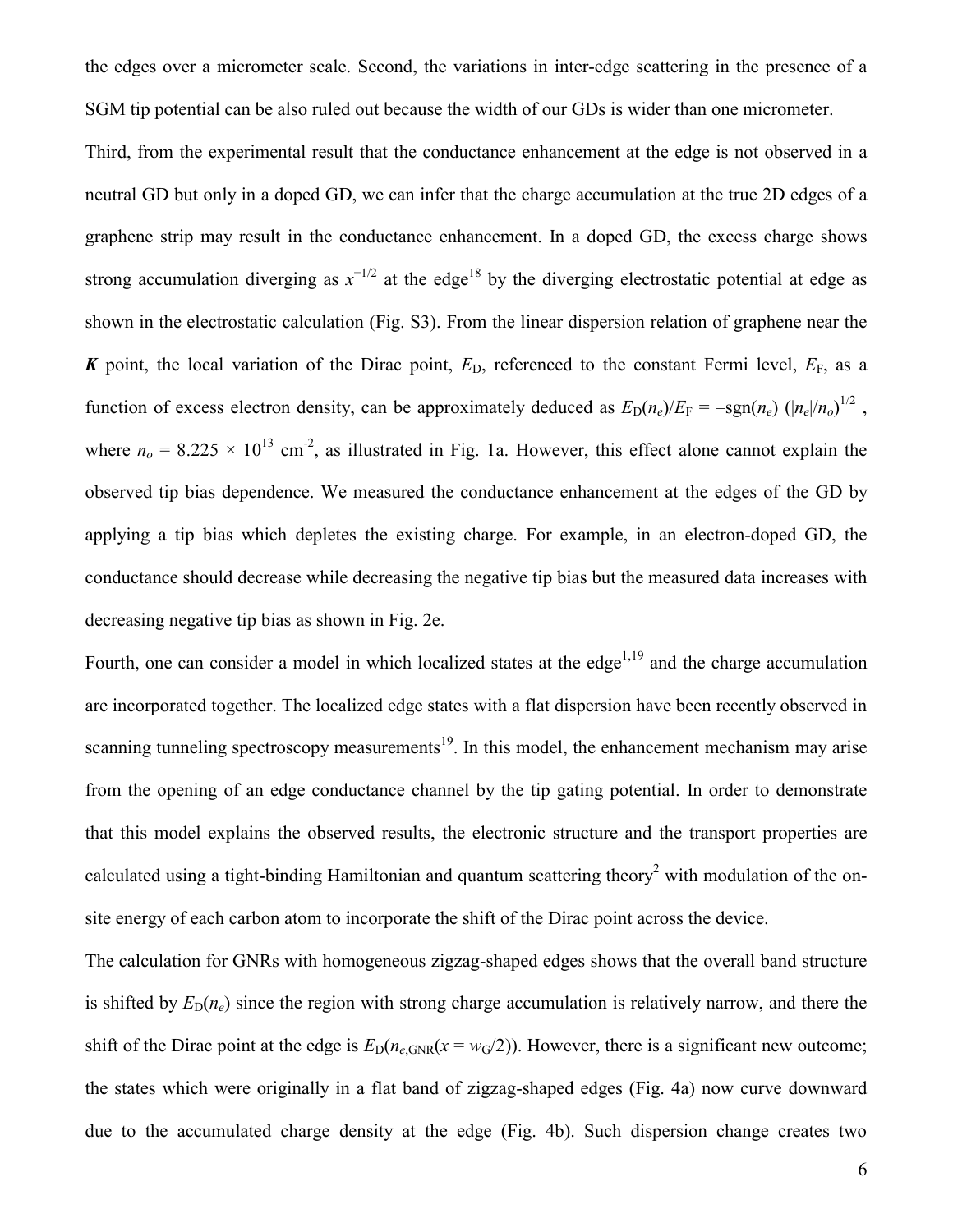the edges over a micrometer scale. Second, the variations in inter-edge scattering in the presence of a SGM tip potential can be also ruled out because the width of our GDs is wider than one micrometer.

Third, from the experimental result that the conductance enhancement at the edge is not observed in a neutral GD but only in a doped GD, we can infer that the charge accumulation at the true 2D edges of a graphene strip may result in the conductance enhancement. In a doped GD, the excess charge shows strong accumulation diverging as  $x^{-1/2}$  at the edge<sup>18</sup> by the diverging electrostatic potential at edge as shown in the electrostatic calculation (Fig. S3). From the linear dispersion relation of graphene near the *K* point, the local variation of the Dirac point,  $E_D$ , referenced to the constant Fermi level,  $E_F$ , as a function of excess electron density, can be approximately deduced as  $E_D(n_e)/E_F = -\text{sgn}(n_e) (\left|n_e\right|/n_o)^{1/2}$ , where  $n<sub>o</sub> = 8.225 \times 10^{13}$  cm<sup>-2</sup>, as illustrated in Fig. 1a. However, this effect alone cannot explain the observed tip bias dependence. We measured the conductance enhancement at the edges of the GD by applying a tip bias which depletes the existing charge. For example, in an electron-doped GD, the conductance should decrease while decreasing the negative tip bias but the measured data increases with decreasing negative tip bias as shown in Fig. 2e.

Fourth, one can consider a model in which localized states at the edge<sup>1,19</sup> and the charge accumulation are incorporated together. The localized edge states with a flat dispersion have been recently observed in scanning tunneling spectroscopy measurements<sup>19</sup>. In this model, the enhancement mechanism may arise from the opening of an edge conductance channel by the tip gating potential. In order to demonstrate that this model explains the observed results, the electronic structure and the transport properties are calculated using a tight-binding Hamiltonian and quantum scattering theory<sup>2</sup> with modulation of the onsite energy of each carbon atom to incorporate the shift of the Dirac point across the device.

The calculation for GNRs with homogeneous zigzag-shaped edges shows that the overall band structure is shifted by  $E_D(n_e)$  since the region with strong charge accumulation is relatively narrow, and there the shift of the Dirac point at the edge is  $E_D(n_{e,GNR}(x = w_G/2))$ . However, there is a significant new outcome; the states which were originally in a flat band of zigzag-shaped edges (Fig. 4a) now curve downward due to the accumulated charge density at the edge (Fig. 4b). Such dispersion change creates two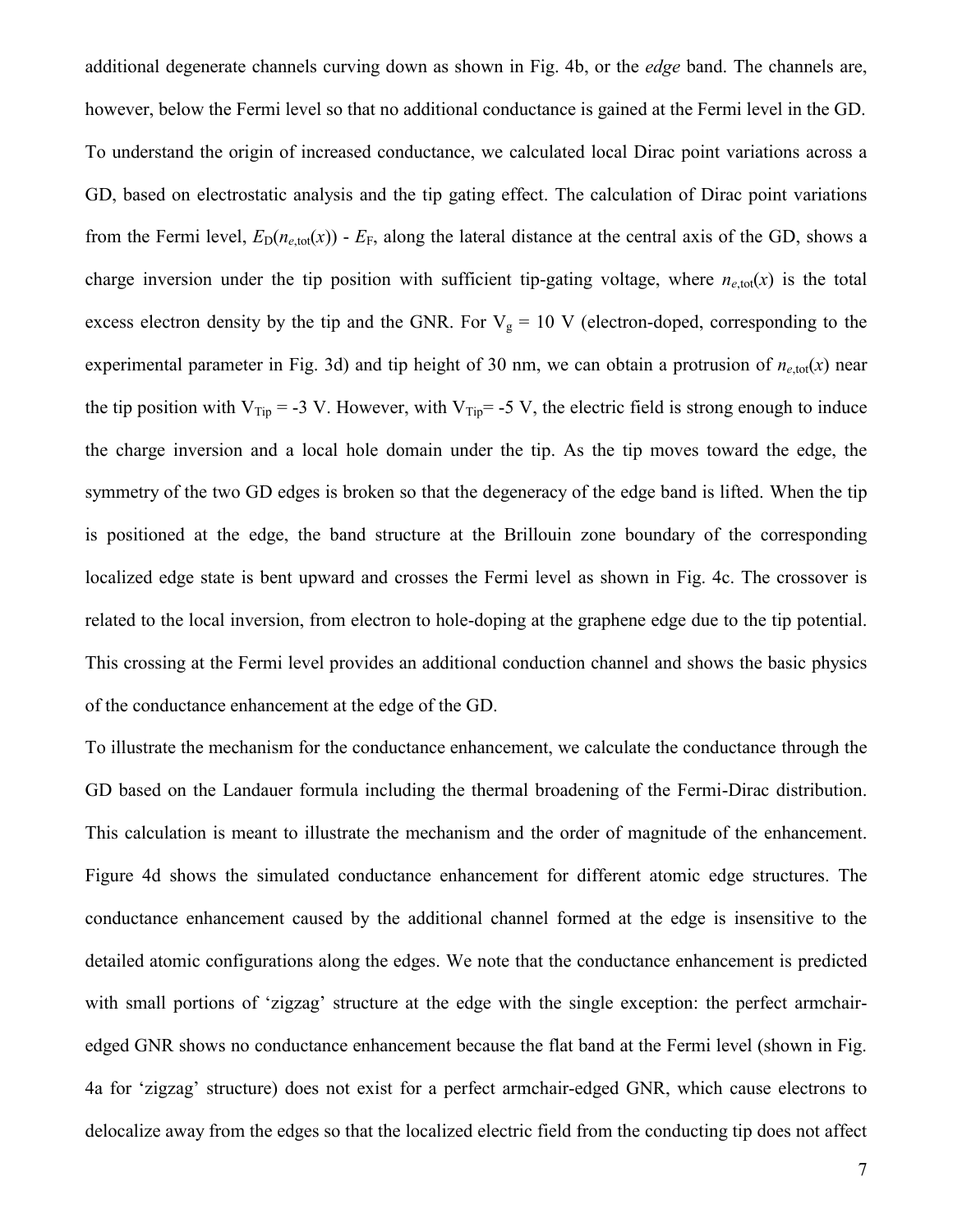additional degenerate channels curving down as shown in Fig. 4b, or the *edge* band. The channels are, however, below the Fermi level so that no additional conductance is gained at the Fermi level in the GD. To understand the origin of increased conductance, we calculated local Dirac point variations across a GD, based on electrostatic analysis and the tip gating effect. The calculation of Dirac point variations from the Fermi level,  $E_D(n_{e,\text{tot}}(x))$  -  $E_F$ , along the lateral distance at the central axis of the GD, shows a charge inversion under the tip position with sufficient tip-gating voltage, where  $n_{e,tot}(x)$  is the total excess electron density by the tip and the GNR. For  $V_g = 10$  V (electron-doped, corresponding to the experimental parameter in Fig. 3d) and tip height of 30 nm, we can obtain a protrusion of  $n_{e,tot}(x)$  near the tip position with  $V_{Tip} = -3 V$ . However, with  $V_{Tip} = -5 V$ , the electric field is strong enough to induce the charge inversion and a local hole domain under the tip. As the tip moves toward the edge, the symmetry of the two GD edges is broken so that the degeneracy of the edge band is lifted. When the tip is positioned at the edge, the band structure at the Brillouin zone boundary of the corresponding localized edge state is bent upward and crosses the Fermi level as shown in Fig. 4c. The crossover is related to the local inversion, from electron to hole-doping at the graphene edge due to the tip potential. This crossing at the Fermi level provides an additional conduction channel and shows the basic physics of the conductance enhancement at the edge of the GD.

To illustrate the mechanism for the conductance enhancement, we calculate the conductance through the GD based on the Landauer formula including the thermal broadening of the Fermi-Dirac distribution. This calculation is meant to illustrate the mechanism and the order of magnitude of the enhancement. Figure 4d shows the simulated conductance enhancement for different atomic edge structures. The conductance enhancement caused by the additional channel formed at the edge is insensitive to the detailed atomic configurations along the edges. We note that the conductance enhancement is predicted with small portions of 'zigzag' structure at the edge with the single exception: the perfect armchairedged GNR shows no conductance enhancement because the flat band at the Fermi level (shown in Fig. 4a for 'zigzag' structure) does not exist for a perfect armchair-edged GNR, which cause electrons to delocalize away from the edges so that the localized electric field from the conducting tip does not affect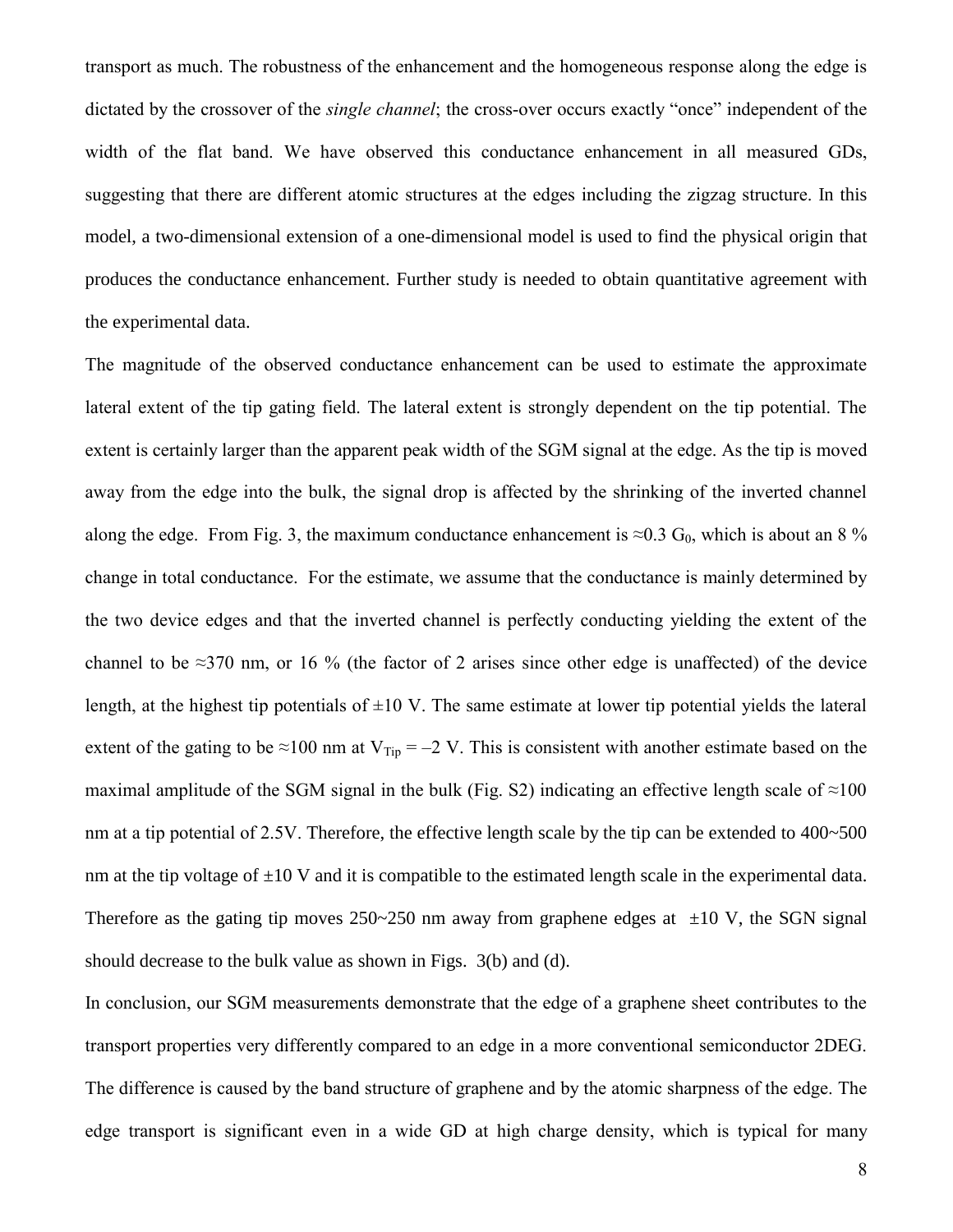transport as much. The robustness of the enhancement and the homogeneous response along the edge is dictated by the crossover of the *single channel*; the cross-over occurs exactly "once" independent of the width of the flat band. We have observed this conductance enhancement in all measured GDs, suggesting that there are different atomic structures at the edges including the zigzag structure. In this model, a two-dimensional extension of a one-dimensional model is used to find the physical origin that produces the conductance enhancement. Further study is needed to obtain quantitative agreement with the experimental data.

The magnitude of the observed conductance enhancement can be used to estimate the approximate lateral extent of the tip gating field. The lateral extent is strongly dependent on the tip potential. The extent is certainly larger than the apparent peak width of the SGM signal at the edge. As the tip is moved away from the edge into the bulk, the signal drop is affected by the shrinking of the inverted channel along the edge. From Fig. 3, the maximum conductance enhancement is  $\approx 0.3$  G<sub>0</sub>, which is about an 8 % change in total conductance. For the estimate, we assume that the conductance is mainly determined by the two device edges and that the inverted channel is perfectly conducting yielding the extent of the channel to be  $\approx$ 370 nm, or 16 % (the factor of 2 arises since other edge is unaffected) of the device length, at the highest tip potentials of  $\pm 10$  V. The same estimate at lower tip potential yields the lateral extent of the gating to be ≈100 nm at  $V_{Tip} = -2 V$ . This is consistent with another estimate based on the maximal amplitude of the SGM signal in the bulk (Fig. S2) indicating an effective length scale of  $\approx$ 100 nm at a tip potential of 2.5V. Therefore, the effective length scale by the tip can be extended to 400~500 nm at the tip voltage of  $\pm 10$  V and it is compatible to the estimated length scale in the experimental data. Therefore as the gating tip moves  $250~250$  nm away from graphene edges at  $\pm 10$  V, the SGN signal should decrease to the bulk value as shown in Figs. 3(b) and (d).

In conclusion, our SGM measurements demonstrate that the edge of a graphene sheet contributes to the transport properties very differently compared to an edge in a more conventional semiconductor 2DEG. The difference is caused by the band structure of graphene and by the atomic sharpness of the edge. The edge transport is significant even in a wide GD at high charge density, which is typical for many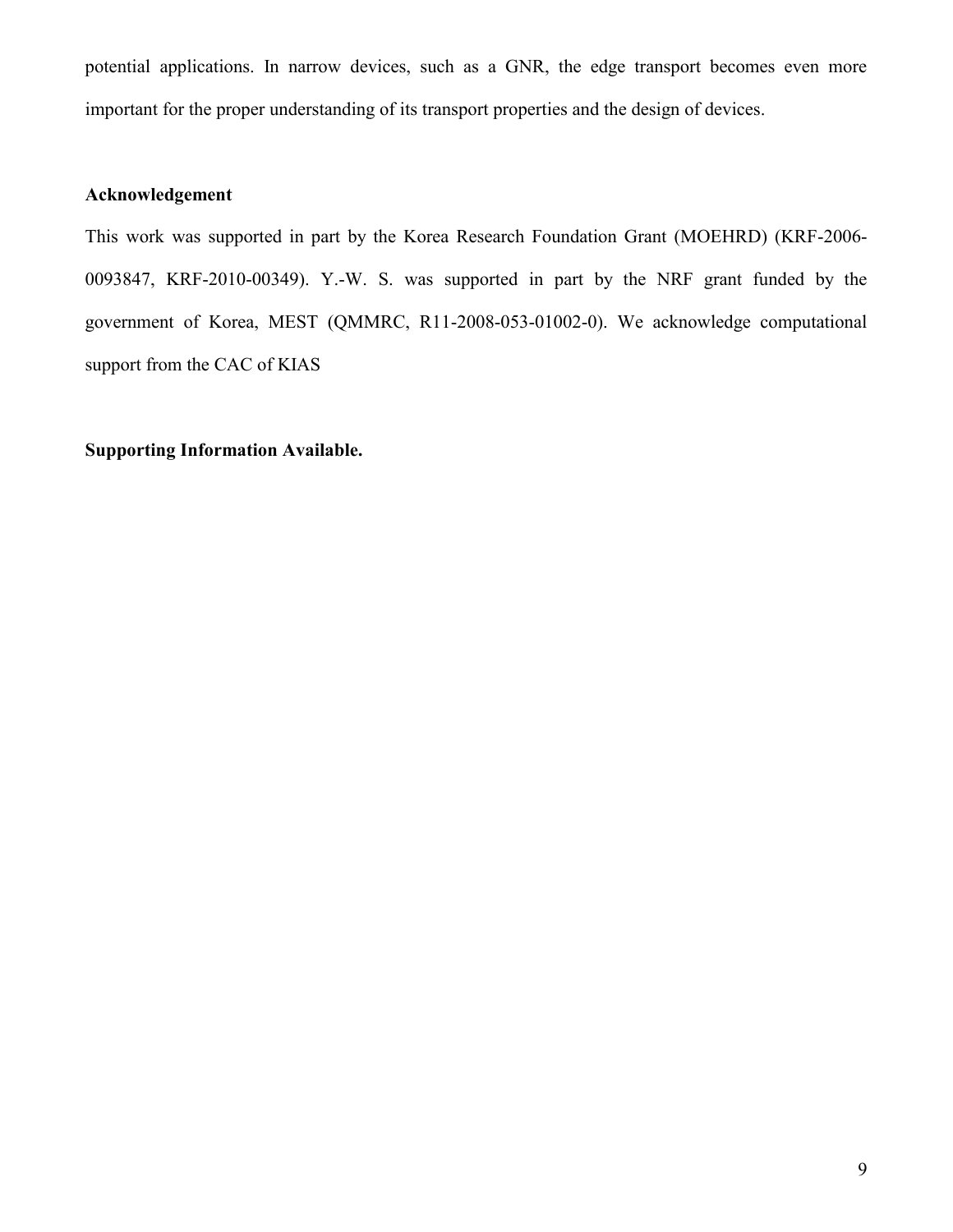potential applications. In narrow devices, such as a GNR, the edge transport becomes even more important for the proper understanding of its transport properties and the design of devices.

## **Acknowledgement**

This work was supported in part by the Korea Research Foundation Grant (MOEHRD) (KRF-2006- 0093847, KRF-2010-00349). Y.-W. S. was supported in part by the NRF grant funded by the government of Korea, MEST (QMMRC, R11-2008-053-01002-0). We acknowledge computational support from the CAC of KIAS

## **Supporting Information Available.**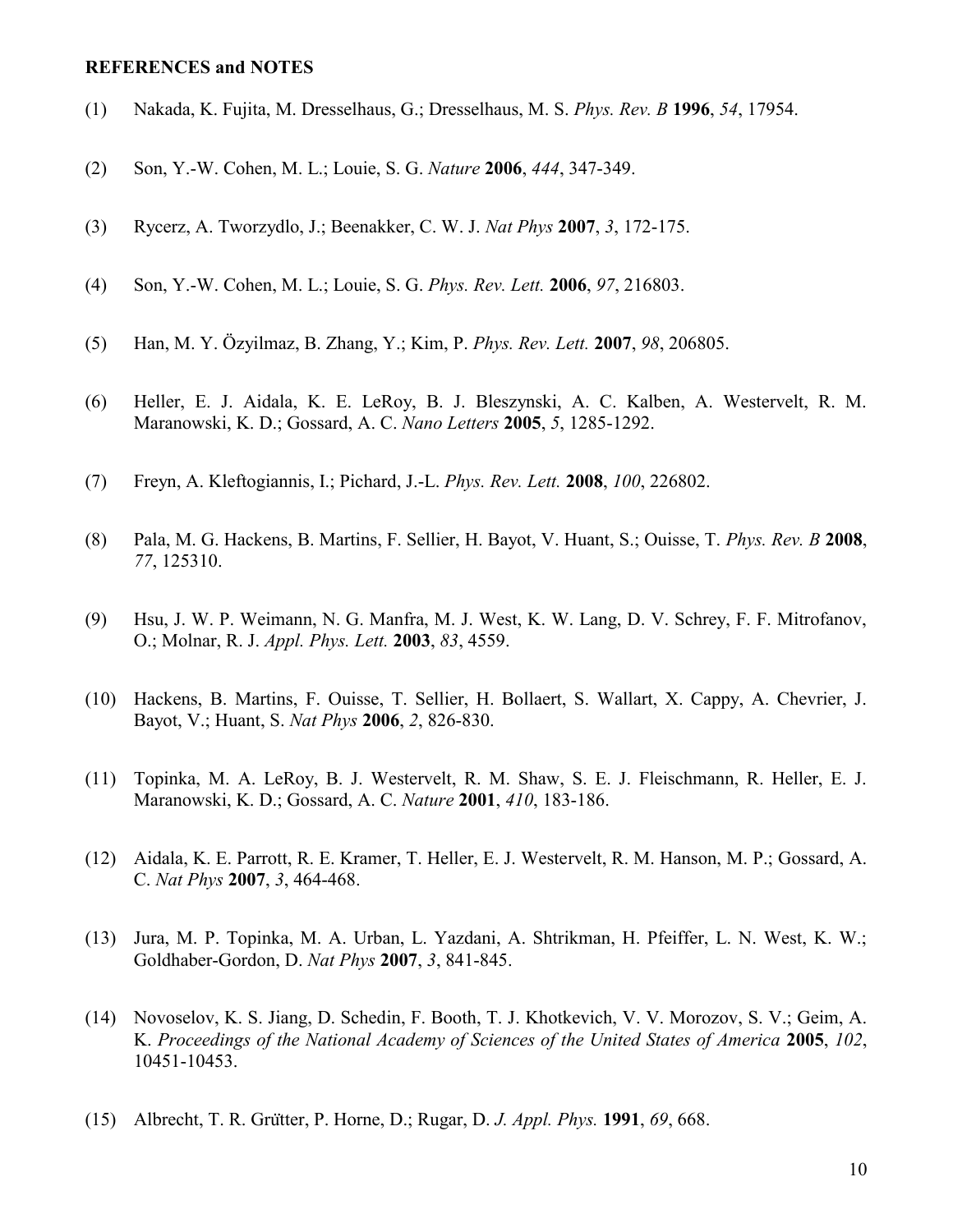#### **REFERENCES and NOTES**

- (1) Nakada, K. Fujita, M. Dresselhaus, G.; Dresselhaus, M. S. *Phys. Rev. B* **1996**, *54*, 17954.
- (2) Son, Y.-W. Cohen, M. L.; Louie, S. G. *Nature* **2006**, *444*, 347-349.
- (3) Rycerz, A. Tworzydlo, J.; Beenakker, C. W. J. *Nat Phys* **2007**, *3*, 172-175.
- (4) Son, Y.-W. Cohen, M. L.; Louie, S. G. *Phys. Rev. Lett.* **2006**, *97*, 216803.
- (5) Han, M. Y. Özyilmaz, B. Zhang, Y.; Kim, P. *Phys. Rev. Lett.* **2007**, *98*, 206805.
- (6) Heller, E. J. Aidala, K. E. LeRoy, B. J. Bleszynski, A. C. Kalben, A. Westervelt, R. M. Maranowski, K. D.; Gossard, A. C. *Nano Letters* **2005**, *5*, 1285-1292.
- (7) Freyn, A. Kleftogiannis, I.; Pichard, J.-L. *Phys. Rev. Lett.* **2008**, *100*, 226802.
- (8) Pala, M. G. Hackens, B. Martins, F. Sellier, H. Bayot, V. Huant, S.; Ouisse, T. *Phys. Rev. B* **2008**, *77*, 125310.
- (9) Hsu, J. W. P. Weimann, N. G. Manfra, M. J. West, K. W. Lang, D. V. Schrey, F. F. Mitrofanov, O.; Molnar, R. J. *Appl. Phys. Lett.* **2003**, *83*, 4559.
- (10) Hackens, B. Martins, F. Ouisse, T. Sellier, H. Bollaert, S. Wallart, X. Cappy, A. Chevrier, J. Bayot, V.; Huant, S. *Nat Phys* **2006**, *2*, 826-830.
- (11) Topinka, M. A. LeRoy, B. J. Westervelt, R. M. Shaw, S. E. J. Fleischmann, R. Heller, E. J. Maranowski, K. D.; Gossard, A. C. *Nature* **2001**, *410*, 183-186.
- (12) Aidala, K. E. Parrott, R. E. Kramer, T. Heller, E. J. Westervelt, R. M. Hanson, M. P.; Gossard, A. C. *Nat Phys* **2007**, *3*, 464-468.
- (13) Jura, M. P. Topinka, M. A. Urban, L. Yazdani, A. Shtrikman, H. Pfeiffer, L. N. West, K. W.; Goldhaber-Gordon, D. *Nat Phys* **2007**, *3*, 841-845.
- (14) Novoselov, K. S. Jiang, D. Schedin, F. Booth, T. J. Khotkevich, V. V. Morozov, S. V.; Geim, A. K. *Proceedings of the National Academy of Sciences of the United States of America* **2005**, *102*, 10451-10453.
- (15) Albrecht, T. R. Grutter, P. Horne, D.; Rugar, D. *J. Appl. Phys.* **1991**, *69*, 668.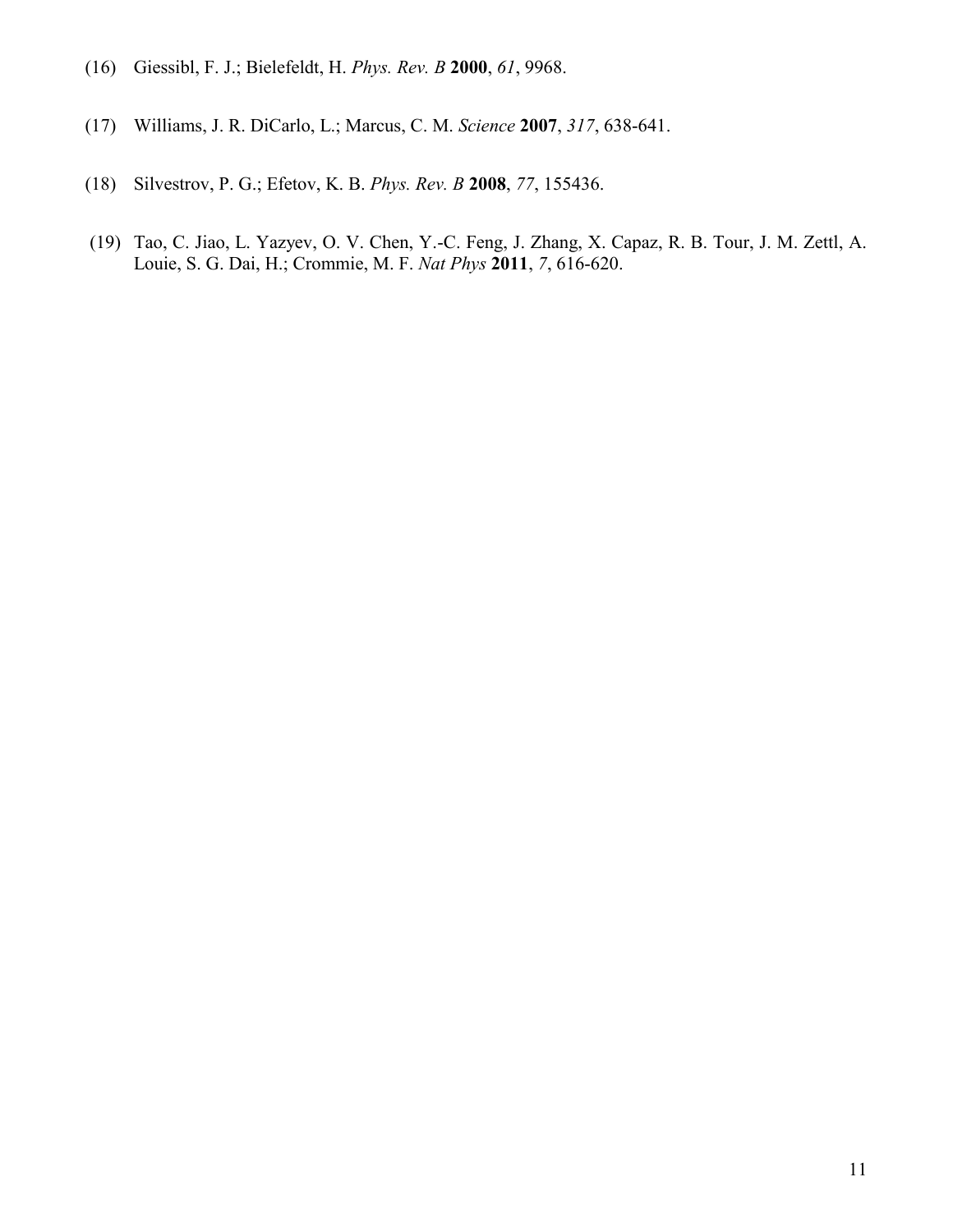- (16) Giessibl, F. J.; Bielefeldt, H. *Phys. Rev. B* **2000**, *61*, 9968.
- (17) Williams, J. R. DiCarlo, L.; Marcus, C. M. *Science* **2007**, *317*, 638-641.
- (18) Silvestrov, P. G.; Efetov, K. B. *Phys. Rev. B* **2008**, *77*, 155436.
- (19) Tao, C. Jiao, L. Yazyev, O. V. Chen, Y.-C. Feng, J. Zhang, X. Capaz, R. B. Tour, J. M. Zettl, A. Louie, S. G. Dai, H.; Crommie, M. F. *Nat Phys* **2011**, *7*, 616-620.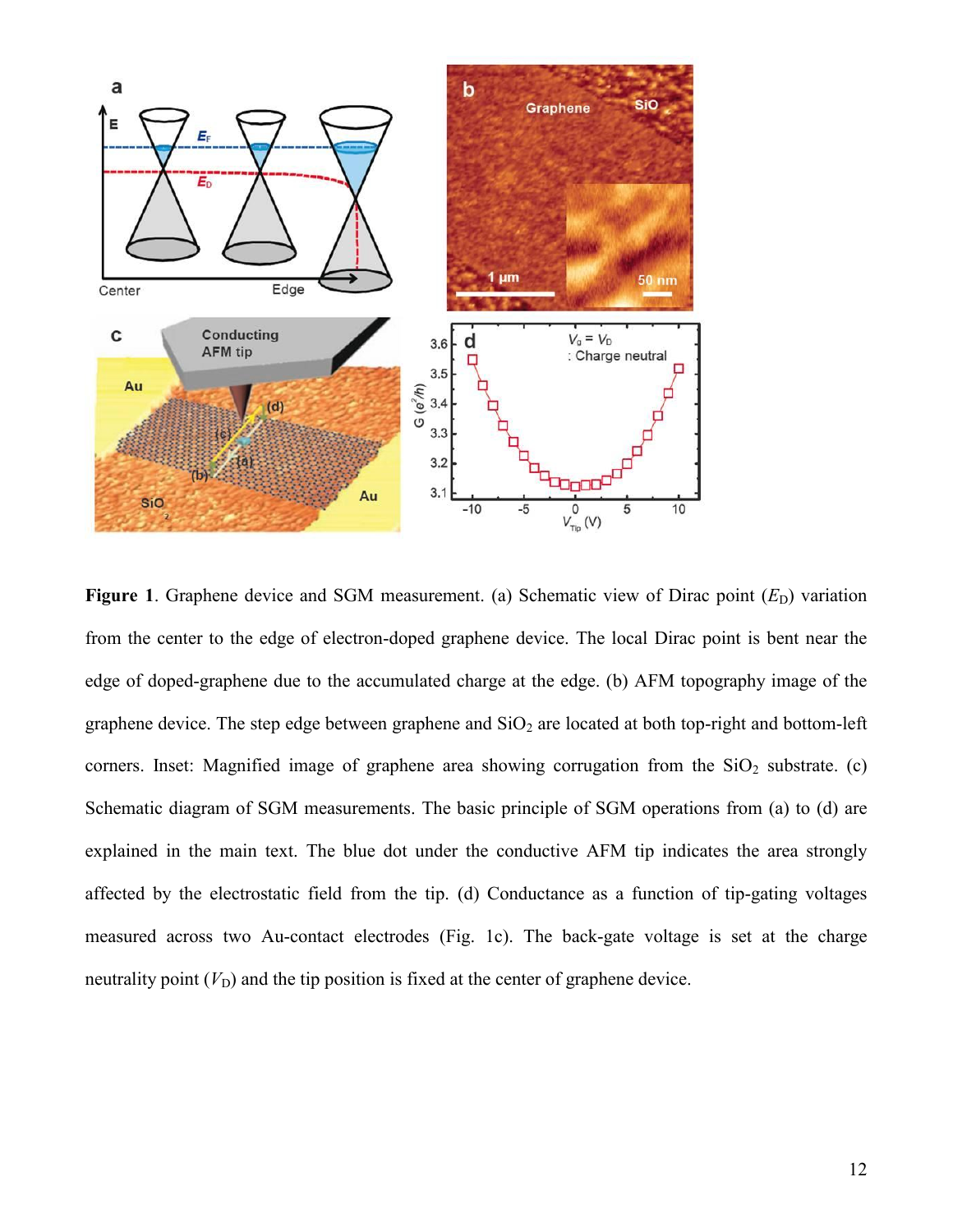

**Figure 1.** Graphene device and SGM measurement. (a) Schematic view of Dirac point  $(E_D)$  variation from the center to the edge of electron-doped graphene device. The local Dirac point is bent near the edge of doped-graphene due to the accumulated charge at the edge. (b) AFM topography image of the graphene device. The step edge between graphene and  $SiO<sub>2</sub>$  are located at both top-right and bottom-left corners. Inset: Magnified image of graphene area showing corrugation from the  $SiO<sub>2</sub>$  substrate. (c) Schematic diagram of SGM measurements. The basic principle of SGM operations from (a) to (d) are explained in the main text. The blue dot under the conductive AFM tip indicates the area strongly affected by the electrostatic field from the tip. (d) Conductance as a function of tip-gating voltages measured across two Au-contact electrodes (Fig. 1c). The back-gate voltage is set at the charge neutrality point  $(V_D)$  and the tip position is fixed at the center of graphene device.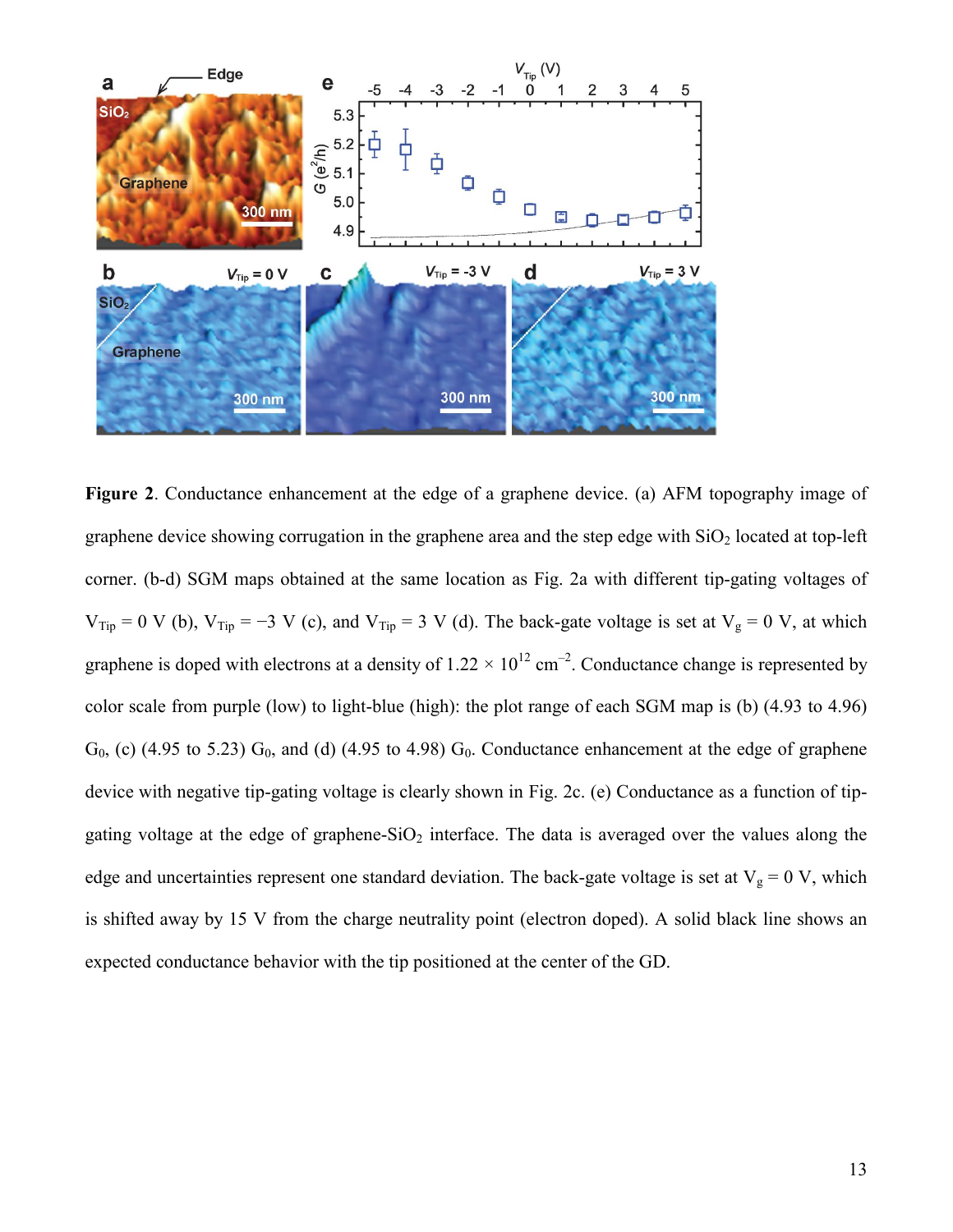

**Figure 2**. Conductance enhancement at the edge of a graphene device. (a) AFM topography image of graphene device showing corrugation in the graphene area and the step edge with  $SiO<sub>2</sub>$  located at top-left corner. (b-d) SGM maps obtained at the same location as Fig. 2a with different tip-gating voltages of  $V_{Tip} = 0$  V (b),  $V_{Tip} = -3$  V (c), and  $V_{Tip} = 3$  V (d). The back-gate voltage is set at  $V_g = 0$  V, at which graphene is doped with electrons at a density of  $1.22 \times 10^{12}$  cm<sup>-2</sup>. Conductance change is represented by color scale from purple (low) to light-blue (high): the plot range of each SGM map is (b) (4.93 to 4.96)  $G_0$ , (c) (4.95 to 5.23)  $G_0$ , and (d) (4.95 to 4.98)  $G_0$ . Conductance enhancement at the edge of graphene device with negative tip-gating voltage is clearly shown in Fig. 2c. (e) Conductance as a function of tipgating voltage at the edge of graphene- $SiO<sub>2</sub>$  interface. The data is averaged over the values along the edge and uncertainties represent one standard deviation. The back-gate voltage is set at  $V_g = 0$  V, which is shifted away by 15 V from the charge neutrality point (electron doped). A solid black line shows an expected conductance behavior with the tip positioned at the center of the GD.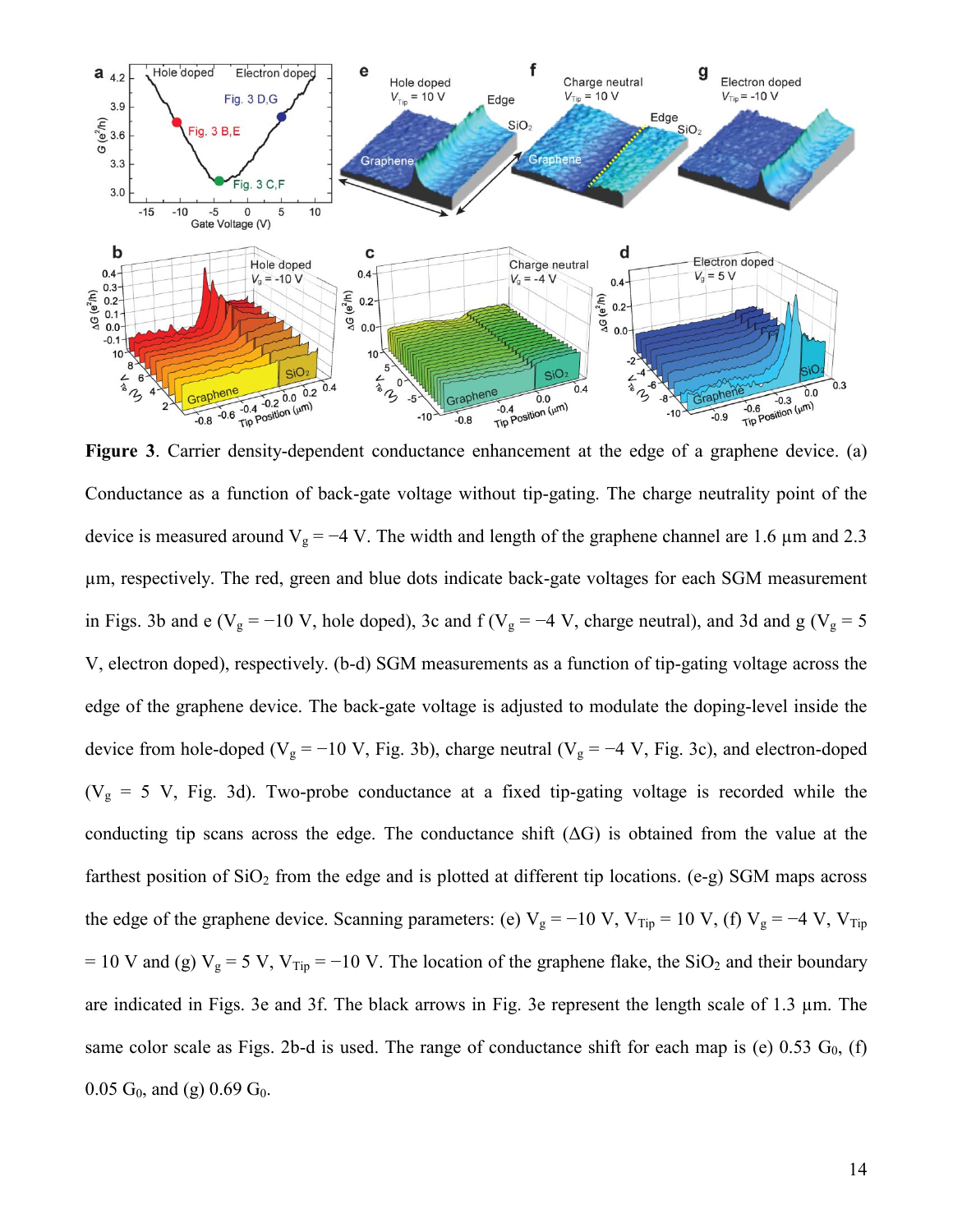

**Figure 3**. Carrier density-dependent conductance enhancement at the edge of a graphene device. (a) Conductance as a function of back-gate voltage without tip-gating. The charge neutrality point of the device is measured around  $V_g = -4$  V. The width and length of the graphene channel are 1.6 µm and 2.3 µm, respectively. The red, green and blue dots indicate back-gate voltages for each SGM measurement in Figs. 3b and e ( $V_g = -10$  V, hole doped), 3c and f ( $V_g = -4$  V, charge neutral), and 3d and g ( $V_g = 5$ V, electron doped), respectively. (b-d) SGM measurements as a function of tip-gating voltage across the edge of the graphene device. The back-gate voltage is adjusted to modulate the doping-level inside the device from hole-doped ( $V_g = -10 V$ , Fig. 3b), charge neutral ( $V_g = -4 V$ , Fig. 3c), and electron-doped ( $V<sub>g</sub> = 5$  V, Fig. 3d). Two-probe conductance at a fixed tip-gating voltage is recorded while the conducting tip scans across the edge. The conductance shift  $( \Delta G )$  is obtained from the value at the farthest position of  $SiO<sub>2</sub>$  from the edge and is plotted at different tip locations. (e-g) SGM maps across the edge of the graphene device. Scanning parameters: (e)  $V_g = -10 V$ ,  $V_{Tip} = 10 V$ , (f)  $V_g = -4 V$ ,  $V_{Tip}$ = 10 V and (g)  $V_g = 5 V$ ,  $V_{Tip} = -10 V$ . The location of the graphene flake, the SiO<sub>2</sub> and their boundary are indicated in Figs. 3e and 3f. The black arrows in Fig. 3e represent the length scale of 1.3 µm. The same color scale as Figs. 2b-d is used. The range of conductance shift for each map is (e)  $0.53$  G<sub>0</sub>, (f) 0.05  $G_0$ , and (g) 0.69  $G_0$ .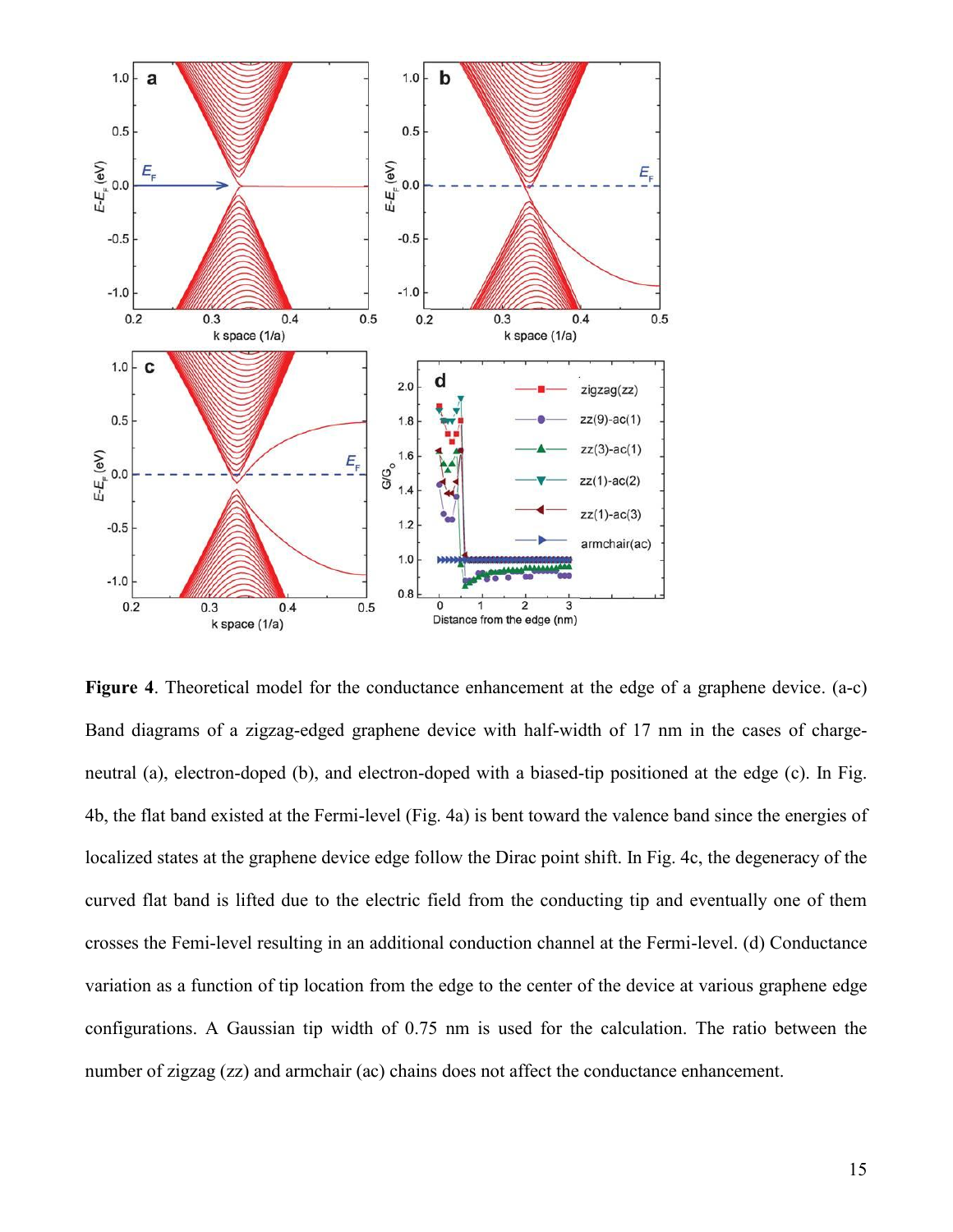

**Figure 4**. Theoretical model for the conductance enhancement at the edge of a graphene device. (a-c) Band diagrams of a zigzag-edged graphene device with half-width of 17 nm in the cases of chargeneutral (a), electron-doped (b), and electron-doped with a biased-tip positioned at the edge (c). In Fig. 4b, the flat band existed at the Fermi-level (Fig. 4a) is bent toward the valence band since the energies of localized states at the graphene device edge follow the Dirac point shift. In Fig. 4c, the degeneracy of the curved flat band is lifted due to the electric field from the conducting tip and eventually one of them crosses the Femi-level resulting in an additional conduction channel at the Fermi-level. (d) Conductance variation as a function of tip location from the edge to the center of the device at various graphene edge configurations. A Gaussian tip width of 0.75 nm is used for the calculation. The ratio between the number of zigzag (zz) and armchair (ac) chains does not affect the conductance enhancement.